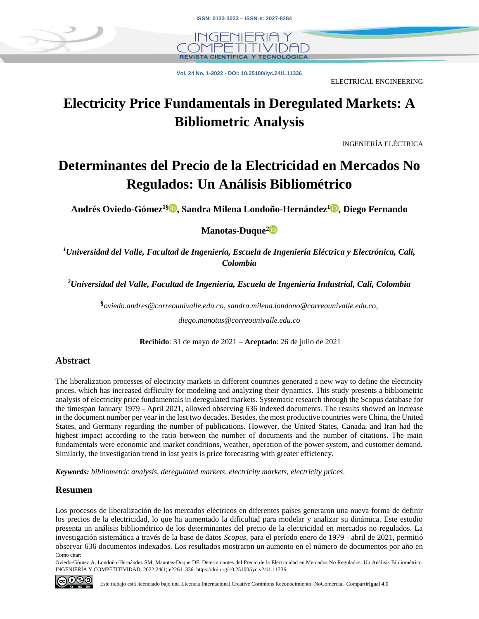

**Vol. 24 No. 1-2022 - DOI: 10.25100/iyc.24i1.11336**

ELECTRICAL ENGINEERING

# **Electricity Price Fundamentals in Deregulated Markets: A Bibliometric Analysis**

INGENIERÍA ELÉCTRICA

# **Determinantes del Precio de la Electricidad en Mercados No Regulados: Un Análisis Bibliométrico**

**Andrés Oviedo-Gómez1§ , Sandra Milena Londoño-Hernández[1](http://orcid.org/0000-0001-5920-7629) , Diego Fernando** 

**Manotas-Duque[2](http://orcid.org/0000-0003-0148-9840)**

*<sup>1</sup>Universidad del Valle, Facultad de Ingeniería, Escuela de Ingeniería Eléctrica y Electrónica, Cali, Colombia*

*<sup>2</sup>Universidad del Valle, Facultad de Ingeniería, Escuela de Ingeniería Industrial, Cali, Colombia*

**§** *[oviedo.andres@correounivalle.edu.co,](mailto:oviedo.andres@correounivalle.edu.co) [sandra.milena.londono@correounivalle.edu.co,](mailto:sandra.milena.londono@correounivalle.edu.co) [diego.manotas@correounivalle.edu.co](mailto:diego.manotas@correounivalle.edu.co)*

**Recibido**: 31 de mayo de 2021 – **Aceptado**: 26 de julio de 2021

#### **Abstract**

The liberalization processes of electricity markets in different countries generated a new way to define the electricity prices, which has increased difficulty for modeling and analyzing their dynamics. This study presents a bibliometric analysis of electricity price fundamentals in deregulated markets. Systematic research through the Scopus database for the timespan January 1979 - April 2021, allowed observing 636 indexed documents. The results showed an increase in the document number per year in the last two decades. Besides, the most productive countries were China, the United States, and Germany regarding the number of publications. However, the United States, Canada, and Iran had the highest impact according to the ratio between the number of documents and the number of citations. The main fundamentals were economic and market conditions, weather, operation of the power system, and customer demand. Similarly, the investigation trend in last years is price forecasting with greater efficiency.

*Keywords: bibliometric analysis, deregulated markets, electricity markets, electricity prices.*

#### **Resumen**

Como citar: Los procesos de liberalización de los mercados eléctricos en diferentes países generaron una nueva forma de definir los precios de la electricidad, lo que ha aumentado la dificultad para modelar y analizar su dinámica. Este estudio presenta un análisis bibliométrico de los determinantes del precio de la electricidad en mercados no regulados. La investigación sistemática a través de la base de datos *Scopus*, para el período enero de 1979 - abril de 2021, permitió observar 636 documentos indexados. Los resultados mostraron un aumento en el número de documentos por año en

Oviedo-Gómez A, Londoño-Hernández SM, Manotas-Duque DF. Determinantes del Precio de la Electricidad en Mercados No Regulados: Un Análisis Bibliométrico. INGENIERÍA Y COMPETITIVIDAD. 2022;24(1):e22611336[. https://doi.org/10.25100/iyc.v24i1.11336.](https://doi.org/10.25100/iyc.v24i1.11336)

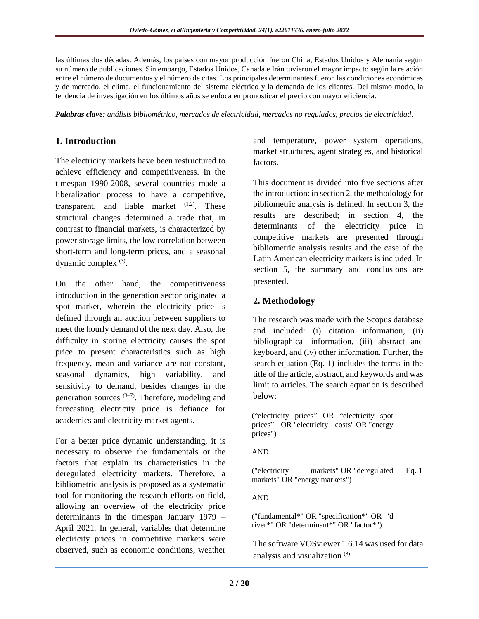las últimas dos décadas. Además, los países con mayor producción fueron China, Estados Unidos y Alemania según su número de publicaciones. Sin embargo, Estados Unidos, Canadá e Irán tuvieron el mayor impacto según la relación entre el número de documentos y el número de citas. Los principales determinantes fueron las condiciones económicas y de mercado, el clima, el funcionamiento del sistema eléctrico y la demanda de los clientes. Del mismo modo, la tendencia de investigación en los últimos años se enfoca en pronosticar el precio con mayor eficiencia.

*Palabras clave: análisis bibliométrico, mercados de electricidad, mercados no regulados, precios de electricidad.*

# **1. Introduction**

The electricity markets have been restructured to achieve efficiency and competitiveness. In the timespan 1990-2008, several countries made a liberalization process to have a competitive, transparent, and liable market  $(1,2)$ . These structural changes determined a trade that, in contrast to financial markets, is characterized by power storage limits, the low correlation between short-term and long-term prices, and a seasonal dynamic complex <sup>(3)</sup>.

On the other hand, the competitiveness introduction in the generation sector originated a spot market, wherein the electricity price is defined through an auction between suppliers to meet the hourly demand of the next day. Also, the difficulty in storing electricity causes the spot price to present characteristics such as high frequency, mean and variance are not constant, seasonal dynamics, high variability, and sensitivity to demand, besides changes in the generation sources  $(3-7)$ . Therefore, modeling and forecasting electricity price is defiance for academics and electricity market agents.

For a better price dynamic understanding, it is necessary to observe the fundamentals or the factors that explain its characteristics in the deregulated electricity markets. Therefore, a bibliometric analysis is proposed as a systematic tool for monitoring the research efforts on-field, allowing an overview of the electricity price determinants in the timespan January 1979 – April 2021. In general, variables that determine electricity prices in competitive markets were observed, such as economic conditions, weather

and temperature, power system operations, market structures, agent strategies, and historical factors.

This document is divided into five sections after the introduction: in section 2, the methodology for bibliometric analysis is defined. In section 3, the results are described; in section 4, the determinants of the electricity price in competitive markets are presented through bibliometric analysis results and the case of the Latin American electricity markets is included. In section 5, the summary and conclusions are presented.

# **2. Methodology**

The research was made with the Scopus database and included: (i) citation information, (ii) bibliographical information, (iii) abstract and keyboard, and (iv) other information. Further, the search equation (Eq. 1) includes the terms in the title of the article, abstract, and keywords and was limit to articles. The search equation is described below:

("electricity prices" OR "electricity spot prices" OR "electricity costs" OR "energy prices")

AND

("electricity markets" OR "deregulated markets" OR "energy markets") Eq. 1

AND

("fundamental\*" OR "specification\*" OR "d river\*" OR "determinant\*" OR "factor\*")

The software VOSviewer 1.6.14 was used for data analysis and visualization (8).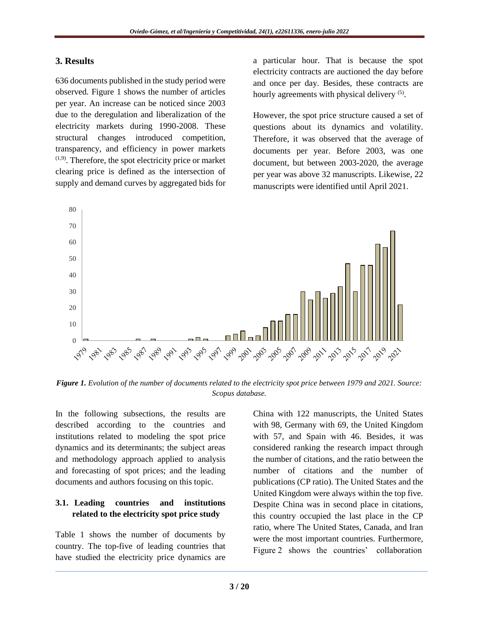### **3. Results**

636 documents published in the study period were observed. Figure 1 shows the number of articles per year. An increase can be noticed since 2003 due to the deregulation and liberalization of the electricity markets during 1990-2008. These structural changes introduced competition, transparency, and efficiency in power markets  $(1,9)$ . Therefore, the spot electricity price or market clearing price is defined as the intersection of supply and demand curves by aggregated bids for a particular hour. That is because the spot electricity contracts are auctioned the day before and once per day. Besides, these contracts are hourly agreements with physical delivery <sup>(5)</sup>.

However, the spot price structure caused a set of questions about its dynamics and volatility. Therefore, it was observed that the average of documents per year. Before 2003, was one document, but between 2003-2020, the average per year was above 32 manuscripts. Likewise, 22 manuscripts were identified until April 2021.



*Figure 1. Evolution of the number of documents related to the electricity spot price between 1979 and 2021. Source: Scopus database.*

In the following subsections, the results are described according to the countries and institutions related to modeling the spot price dynamics and its determinants; the subject areas and methodology approach applied to analysis and forecasting of spot prices; and the leading documents and authors focusing on this topic.

# **3.1. Leading countries and institutions related to the electricity spot price study**

Table 1 shows the number of documents by country. The top-five of leading countries that have studied the electricity price dynamics are

China with 122 manuscripts, the United States with 98, Germany with 69, the United Kingdom with 57, and Spain with 46. Besides, it was considered ranking the research impact through the number of citations, and the ratio between the number of citations and the number of publications (CP ratio). The United States and the United Kingdom were always within the top five. Despite China was in second place in citations, this country occupied the last place in the CP ratio, where The United States, Canada, and Iran were the most important countries. Furthermore, Figure 2 shows the countries' collaboration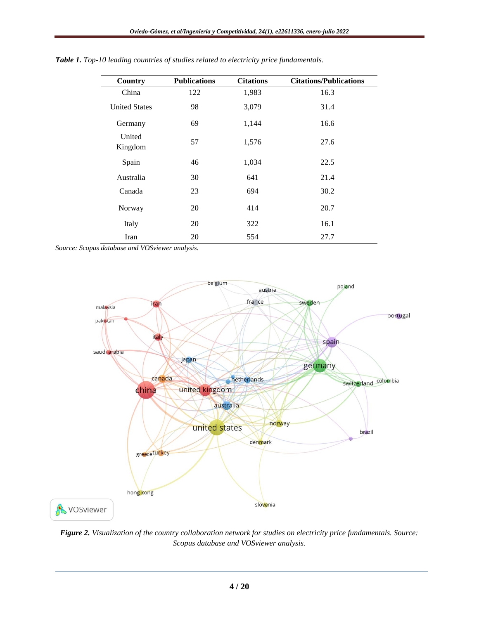| Country              | <b>Publications</b> | <b>Citations</b> | <b>Citations/Publications</b> |
|----------------------|---------------------|------------------|-------------------------------|
| China                | 122                 | 1,983            | 16.3                          |
| <b>United States</b> | 98                  | 3,079            | 31.4                          |
| Germany              | 69                  | 1,144            | 16.6                          |
| United<br>Kingdom    | 57                  | 1,576            | 27.6                          |
| Spain                | 46                  | 1,034            | 22.5                          |
| Australia            | 30                  | 641              | 21.4                          |
| Canada               | 23                  | 694              | 30.2                          |
| Norway               | 20                  | 414              | 20.7                          |
| Italy                | 20                  | 322              | 16.1                          |
| Iran                 | 20                  | 554              | 27.7                          |

*Table 1. Top-10 leading countries of studies related to electricity price fundamentals.*

*Source: Scopus database and VOSviewer analysis.*



*Figure 2. Visualization of the country collaboration network for studies on electricity price fundamentals. Source: Scopus database and VOSviewer analysis.*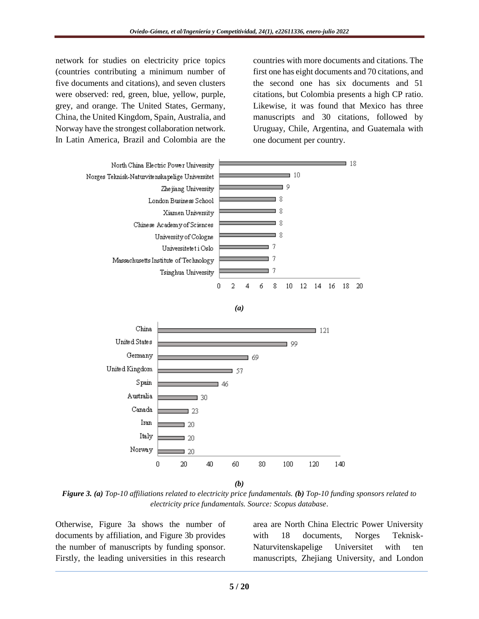network for studies on electricity price topics (countries contributing a minimum number of five documents and citations), and seven clusters were observed: red, green, blue, yellow, purple, grey, and orange. The United States, Germany, China, the United Kingdom, Spain, Australia, and Norway have the strongest collaboration network. In Latin America, Brazil and Colombia are the countries with more documents and citations. The first one has eight documents and 70 citations, and the second one has six documents and 51 citations, but Colombia presents a high CP ratio. Likewise, it was found that Mexico has three manuscripts and 30 citations, followed by Uruguay, Chile, Argentina, and Guatemala with one document per country.



*(a)*



*Figure 3. (a) Top-10 affiliations related to electricity price fundamentals. (b) Top-10 funding sponsors related to electricity price fundamentals. Source: Scopus database*.

Otherwise, Figure 3a shows the number of documents by affiliation, and Figure 3b provides the number of manuscripts by funding sponsor. Firstly, the leading universities in this research

area are North China Electric Power University with 18 documents, Norges Teknisk-Naturvitenskapelige Universitet with ten manuscripts, Zhejiang University, and London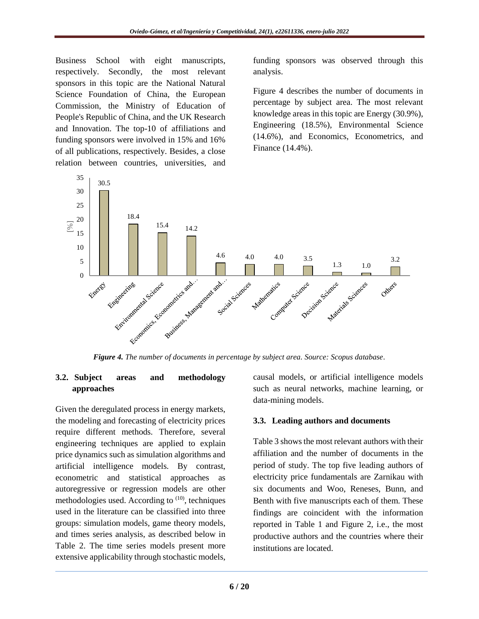Business School with eight manuscripts, respectively. Secondly, the most relevant sponsors in this topic are the National Natural Science Foundation of China, the European Commission, the Ministry of Education of People's Republic of China, and the UK Research and Innovation. The top-10 of affiliations and funding sponsors were involved in 15% and 16% of all publications, respectively. Besides, a close relation between countries, universities, and

funding sponsors was observed through this analysis.

Figure 4 describes the number of documents in percentage by subject area. The most relevant knowledge areas in this topic are Energy (30.9%), Engineering (18.5%), Environmental Science (14.6%), and Economics, Econometrics, and Finance (14.4%).



### **3.2. Subject areas and methodology approaches**

Given the deregulated process in energy markets, the modeling and forecasting of electricity prices require different methods. Therefore, several engineering techniques are applied to explain price dynamics such as simulation algorithms and artificial intelligence models. By contrast, econometric and statistical approaches as autoregressive or regression models are other methodologies used. According to  $(10)$ , techniques used in the literature can be classified into three groups: simulation models, game theory models, and times series analysis, as described below in Table 2. The time series models present more extensive applicability through stochastic models,

causal models, or artificial intelligence models such as neural networks, machine learning, or data-mining models.

### **3.3. Leading authors and documents**

Table 3 shows the most relevant authors with their affiliation and the number of documents in the period of study. The top five leading authors of electricity price fundamentals are Zarnikau with six documents and Woo, Reneses, Bunn, and Benth with five manuscripts each of them. These findings are coincident with the information reported in Table 1 and Figure 2, i.e., the most productive authors and the countries where their institutions are located.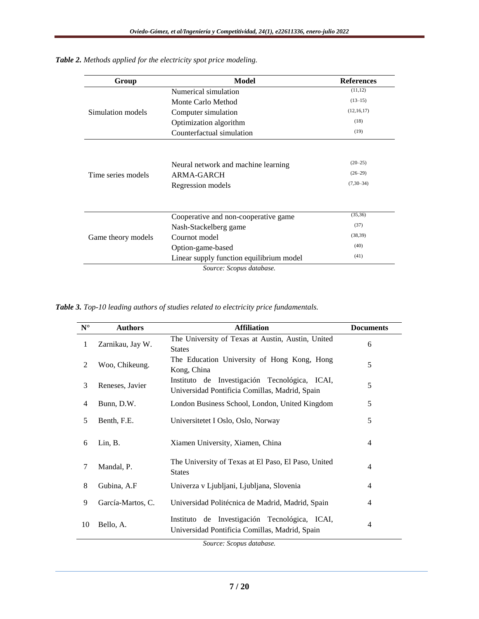| Group              | Model                                                                  | <b>References</b>                     |
|--------------------|------------------------------------------------------------------------|---------------------------------------|
|                    | Numerical simulation                                                   | (11, 12)                              |
|                    | Monte Carlo Method                                                     | $(13-15)$                             |
| Simulation models  | Computer simulation                                                    | (12, 16, 17)                          |
|                    | Optimization algorithm                                                 | (18)                                  |
|                    | Counterfactual simulation                                              | (19)                                  |
| Time series models | Neural network and machine learning<br>ARMA-GARCH<br>Regression models | $(20-25)$<br>$(26-29)$<br>$(7,30-34)$ |
|                    | Cooperative and non-cooperative game                                   | (35, 36)                              |
|                    | Nash-Stackelberg game                                                  | (37)                                  |
| Game theory models | Cournot model                                                          | (38, 39)                              |
|                    | Option-game-based                                                      | (40)                                  |
|                    | Linear supply function equilibrium model                               | (41)                                  |
|                    | Source: Scopus database.                                               |                                       |

*Table 2. Methods applied for the electricity spot price modeling.*

*Table 3. Top-10 leading authors of studies related to electricity price fundamentals.*

| $N^{\circ}$    | <b>Authors</b>    | <b>Affiliation</b>                                                                              | <b>Documents</b> |
|----------------|-------------------|-------------------------------------------------------------------------------------------------|------------------|
| 1              | Zarnikau, Jay W.  | The University of Texas at Austin, Austin, United<br><b>States</b>                              | 6                |
| 2              | Woo, Chikeung.    | The Education University of Hong Kong, Hong<br>Kong, China                                      | 5                |
| 3              | Reneses, Javier   | Instituto de Investigación Tecnológica, ICAI,<br>Universidad Pontificia Comillas, Madrid, Spain | 5                |
| $\overline{4}$ | Bunn, D.W.        | London Business School, London, United Kingdom                                                  | 5                |
| 5              | Benth, F.E.       | Universitetet I Oslo, Oslo, Norway                                                              | 5                |
| 6              | Lin, B.           | Xiamen University, Xiamen, China                                                                | $\overline{4}$   |
| 7              | Mandal, P.        | The University of Texas at El Paso, El Paso, United<br><b>States</b>                            | $\overline{4}$   |
| 8              | Gubina, A.F       | Univerza v Ljubljani, Ljubljana, Slovenia                                                       | 4                |
| 9              | García-Martos, C. | Universidad Politécnica de Madrid, Madrid, Spain                                                | 4                |
| 10             | Bello, A.         | Instituto de Investigación Tecnológica, ICAI,<br>Universidad Pontificia Comillas, Madrid, Spain | $\overline{4}$   |

*Source: Scopus database.*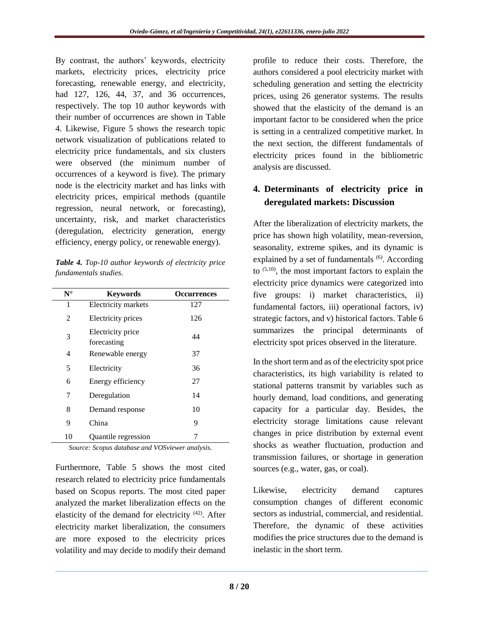By contrast, the authors' keywords, electricity markets, electricity prices, electricity price forecasting, renewable energy, and electricity, had 127, 126, 44, 37, and 36 occurrences. respectively. The top 10 author keywords with their number of occurrences are shown in Table 4. Likewise, Figure 5 shows the research topic network visualization of publications related to electricity price fundamentals, and six clusters were observed (the minimum number of occurrences of a keyword is five). The primary node is the electricity market and has links with electricity prices, empirical methods (quantile regression, neural network, or forecasting), uncertainty, risk, and market characteristics (deregulation, electricity generation, energy efficiency, energy policy, or renewable energy).

*Table 4. Top-10 author keywords of electricity price fundamentals studies.*

| $N^{\circ}$ | <b>Keywords</b>                  | <b>Occurrences</b> |
|-------------|----------------------------------|--------------------|
| 1           | Electricity markets              | 127                |
| 2           | Electricity prices               | 126                |
| 3           | Electricity price<br>forecasting | 44                 |
| 4           | Renewable energy                 | 37                 |
| 5           | Electricity                      | 36                 |
| 6           | Energy efficiency                | 27                 |
| 7           | Deregulation                     | 14                 |
| 8           | Demand response                  | 10                 |
| 9           | China                            | 9                  |
| 10          | Quantile regression              | 7                  |

*Source: Scopus database and VOSviewer analysis.*

Furthermore, Table 5 shows the most cited research related to electricity price fundamentals based on Scopus reports. The most cited paper analyzed the market liberalization effects on the elasticity of the demand for electricity (42). After electricity market liberalization, the consumers are more exposed to the electricity prices volatility and may decide to modify their demand

profile to reduce their costs. Therefore, the authors considered a pool electricity market with scheduling generation and setting the electricity prices, using 26 generator systems. The results showed that the elasticity of the demand is an important factor to be considered when the price is setting in a centralized competitive market. In the next section, the different fundamentals of electricity prices found in the bibliometric analysis are discussed.

# **4. Determinants of electricity price in deregulated markets: Discussion**

After the liberalization of electricity markets, the price has shown high volatility, mean-reversion, seasonality, extreme spikes, and its dynamic is explained by a set of fundamentals <sup>(6)</sup>. According to  $(5,10)$ , the most important factors to explain the electricity price dynamics were categorized into five groups: i) market characteristics, ii) fundamental factors, iii) operational factors, iv) strategic factors, and v) historical factors. Table 6 summarizes the principal determinants of electricity spot prices observed in the literature.

In the short term and as of the electricity spot price characteristics, its high variability is related to stational patterns transmit by variables such as hourly demand, load conditions, and generating capacity for a particular day. Besides, the electricity storage limitations cause relevant changes in price distribution by external event shocks as weather fluctuation, production and transmission failures, or shortage in generation sources (e.g., water, gas, or coal).

Likewise, electricity demand captures consumption changes of different economic sectors as industrial, commercial, and residential. Therefore, the dynamic of these activities modifies the price structures due to the demand is inelastic in the short term.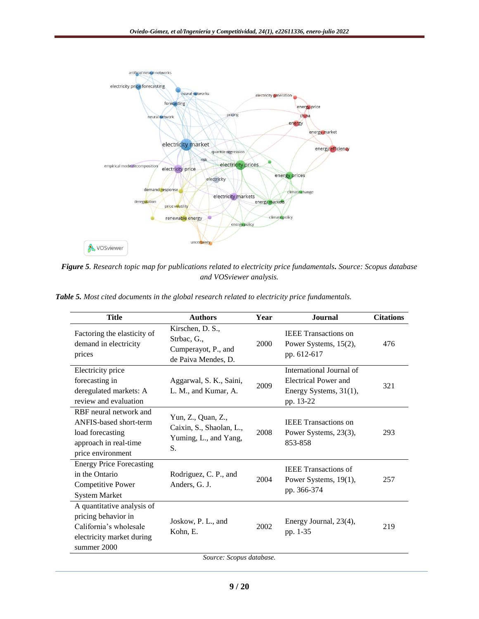

*Figure 5. Research topic map for publications related to electricity price fundamentals. Source: Scopus database and VOSviewer analysis.*

*Table 5. Most cited documents in the global research related to electricity price fundamentals.*

| Title                                                                                                                   | <b>Authors</b>                                                                | Year | <b>Journal</b>                                                                          | <b>Citations</b> |
|-------------------------------------------------------------------------------------------------------------------------|-------------------------------------------------------------------------------|------|-----------------------------------------------------------------------------------------|------------------|
| Factoring the elasticity of<br>demand in electricity<br>prices                                                          | Kirschen, D. S.,<br>Strbac, G.,<br>Cumperayot, P., and<br>de Paiva Mendes, D. | 2000 | <b>IEEE</b> Transactions on<br>Power Systems, 15(2),<br>pp. 612-617                     | 476              |
| Electricity price<br>forecasting in<br>deregulated markets: A<br>review and evaluation                                  | Aggarwal, S. K., Saini,<br>L. M., and Kumar, A.                               | 2009 | International Journal of<br>Electrical Power and<br>Energy Systems, 31(1),<br>pp. 13-22 | 321              |
| RBF neural network and<br>ANFIS-based short-term<br>load forecasting<br>approach in real-time<br>price environment      | Yun, Z., Quan, Z.,<br>Caixin, S., Shaolan, L.,<br>Yuming, L., and Yang,<br>S. | 2008 | <b>IEEE</b> Transactions on<br>Power Systems, 23(3),<br>853-858                         | 293              |
| <b>Energy Price Forecasting</b><br>in the Ontario<br>Competitive Power<br><b>System Market</b>                          | Rodriguez, C. P., and<br>Anders, G. J.                                        | 2004 | <b>IEEE</b> Transactions of<br>Power Systems, 19(1),<br>pp. 366-374                     | 257              |
| A quantitative analysis of<br>pricing behavior in<br>California's wholesale<br>electricity market during<br>summer 2000 | Joskow, P. L., and<br>Kohn, E.                                                | 2002 | Energy Journal, 23(4),<br>pp. 1-35                                                      | 219              |
| Source: Scopus database.                                                                                                |                                                                               |      |                                                                                         |                  |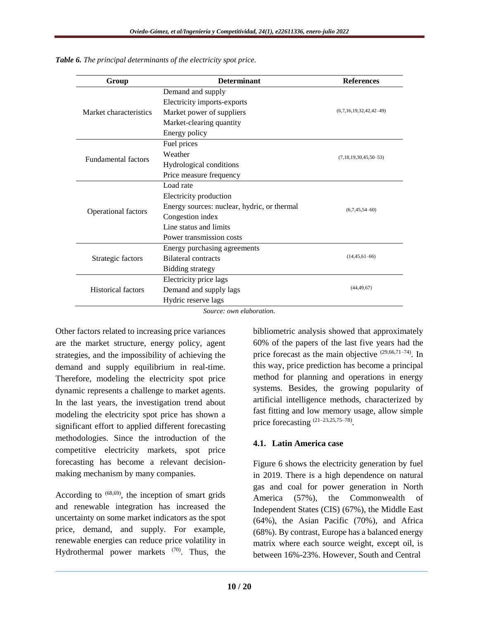| Group                      | <b>Determinant</b>                          | <b>References</b>         |  |
|----------------------------|---------------------------------------------|---------------------------|--|
|                            | Demand and supply                           |                           |  |
|                            | Electricity imports-exports                 |                           |  |
| Market characteristics     | Market power of suppliers                   | $(6,7,16,19,32,42,42-49)$ |  |
|                            | Market-clearing quantity                    |                           |  |
|                            | Energy policy                               |                           |  |
|                            | Fuel prices                                 |                           |  |
| <b>Fundamental factors</b> | Weather                                     | $(7,18,19,30,45,50-53)$   |  |
|                            | Hydrological conditions                     |                           |  |
|                            | Price measure frequency                     |                           |  |
|                            | Load rate                                   |                           |  |
|                            | Electricity production                      | $(6,7,45,54-60)$          |  |
| Operational factors        | Energy sources: nuclear, hydric, or thermal |                           |  |
|                            | Congestion index                            |                           |  |
|                            | Line status and limits                      |                           |  |
|                            | Power transmission costs                    |                           |  |
| Strategic factors          | Energy purchasing agreements                |                           |  |
|                            | Bilateral contracts                         | $(14, 45, 61 - 66)$       |  |
|                            | Bidding strategy                            |                           |  |
|                            | Electricity price lags                      |                           |  |
| <b>Historical factors</b>  | Demand and supply lags                      | (44, 49, 67)              |  |
|                            | Hydric reserve lags                         |                           |  |

*Table 6. The principal determinants of the electricity spot price.*

*Source: own elaboration.*

Other factors related to increasing price variances are the market structure, energy policy, agent strategies, and the impossibility of achieving the demand and supply equilibrium in real-time. Therefore, modeling the electricity spot price dynamic represents a challenge to market agents. In the last years, the investigation trend about modeling the electricity spot price has shown a significant effort to applied different forecasting methodologies. Since the introduction of the competitive electricity markets, spot price forecasting has become a relevant decisionmaking mechanism by many companies.

According to  $(68,69)$ , the inception of smart grids and renewable integration has increased the uncertainty on some market indicators as the spot price, demand, and supply. For example, renewable energies can reduce price volatility in Hydrothermal power markets  $(70)$ . Thus, the

bibliometric analysis showed that approximately 60% of the papers of the last five years had the price forecast as the main objective (29,66,71–74). In this way, price prediction has become a principal method for planning and operations in energy systems. Besides, the growing popularity of artificial intelligence methods, characterized by fast fitting and low memory usage, allow simple price forecasting  $(21-23,25,75-78)$ .

#### **4.1. Latin America case**

Figure 6 shows the electricity generation by fuel in 2019. There is a high dependence on natural gas and coal for power generation in North America (57%), the Commonwealth of Independent States (CIS) (67%), the Middle East (64%), the Asian Pacific (70%), and Africa (68%). By contrast, Europe has a balanced energy matrix where each source weight, except oil, is between 16%-23%. However, South and Central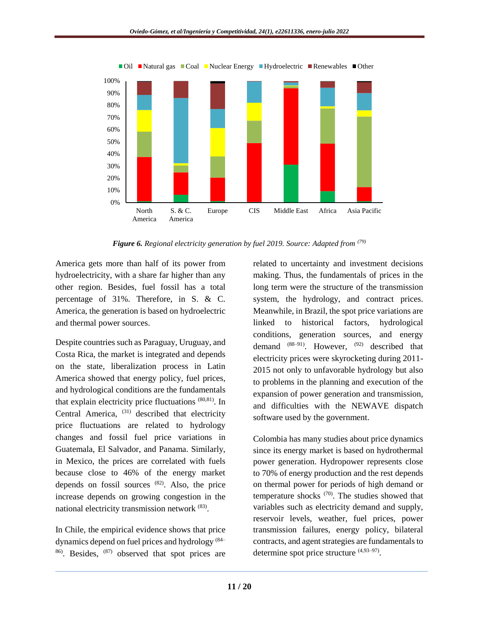

*Figure 6. Regional electricity generation by fuel 2019. Source: Adapted from (79)*

America gets more than half of its power from hydroelectricity, with a share far higher than any other region. Besides, fuel fossil has a total percentage of 31%. Therefore, in S. & C. America, the generation is based on hydroelectric and thermal power sources.

Despite countries such as Paraguay, Uruguay, and Costa Rica, the market is integrated and depends on the state, liberalization process in Latin America showed that energy policy, fuel prices, and hydrological conditions are the fundamentals that explain electricity price fluctuations (80,81). In Central America, <sup>(31)</sup> described that electricity price fluctuations are related to hydrology changes and fossil fuel price variations in Guatemala, El Salvador, and Panama. Similarly, in Mexico, the prices are correlated with fuels because close to 46% of the energy market depends on fossil sources  $(82)$ . Also, the price increase depends on growing congestion in the national electricity transmission network <sup>(83)</sup>.

In Chile, the empirical evidence shows that price dynamics depend on fuel prices and hydrology (84– 86). Besides, (87) observed that spot prices are

related to uncertainty and investment decisions making. Thus, the fundamentals of prices in the long term were the structure of the transmission system, the hydrology, and contract prices. Meanwhile, in Brazil, the spot price variations are linked to historical factors, hydrological conditions, generation sources, and energy demand  $(88-91)$ . However,  $(92)$  described that electricity prices were skyrocketing during 2011- 2015 not only to unfavorable hydrology but also to problems in the planning and execution of the expansion of power generation and transmission, and difficulties with the NEWAVE dispatch software used by the government.

Colombia has many studies about price dynamics since its energy market is based on hydrothermal power generation. Hydropower represents close to 70% of energy production and the rest depends on thermal power for periods of high demand or temperature shocks (70). The studies showed that variables such as electricity demand and supply, reservoir levels, weather, fuel prices, power transmission failures, energy policy, bilateral contracts, and agent strategies are fundamentals to determine spot price structure  $(4,93-97)$ .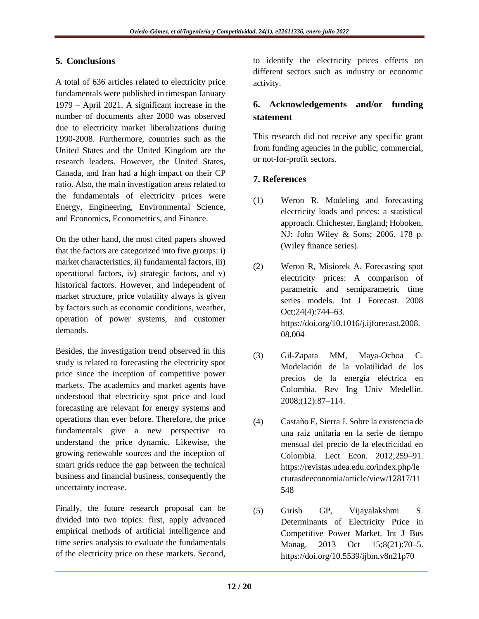# **5. Conclusions**

A total of 636 articles related to electricity price fundamentals were published in timespan January 1979 – April 2021. A significant increase in the number of documents after 2000 was observed due to electricity market liberalizations during 1990-2008. Furthermore, countries such as the United States and the United Kingdom are the research leaders. However, the United States, Canada, and Iran had a high impact on their CP ratio. Also, the main investigation areas related to the fundamentals of electricity prices were Energy, Engineering, Environmental Science, and Economics, Econometrics, and Finance.

On the other hand, the most cited papers showed that the factors are categorized into five groups: i) market characteristics, ii) fundamental factors, iii) operational factors, iv) strategic factors, and v) historical factors. However, and independent of market structure, price volatility always is given by factors such as economic conditions, weather, operation of power systems, and customer demands.

Besides, the investigation trend observed in this study is related to forecasting the electricity spot price since the inception of competitive power markets. The academics and market agents have understood that electricity spot price and load forecasting are relevant for energy systems and operations than ever before. Therefore, the price fundamentals give a new perspective to understand the price dynamic. Likewise, the growing renewable sources and the inception of smart grids reduce the gap between the technical business and financial business, consequently the uncertainty increase.

Finally, the future research proposal can be divided into two topics: first, apply advanced empirical methods of artificial intelligence and time series analysis to evaluate the fundamentals of the electricity price on these markets. Second,

to identify the electricity prices effects on different sectors such as industry or economic activity.

# **6. Acknowledgements and/or funding statement**

This research did not receive any specific grant from funding agencies in the public, commercial, or not-for-profit sectors.

# **7. References**

- (1) Weron R. Modeling and forecasting electricity loads and prices: a statistical approach. Chichester, England; Hoboken, NJ: John Wiley & Sons; 2006. 178 p. (Wiley finance series).
- (2) Weron R, Misiorek A. Forecasting spot electricity prices: A comparison of parametric and semiparametric time series models. Int J Forecast. 2008 Oct;24(4):744–63. [https://doi.org/10.1016/j.ijforecast.2008.](https://doi.org/10.1016/j.ijforecast.2008.08.004) [08.004](https://doi.org/10.1016/j.ijforecast.2008.08.004)
- (3) Gil-Zapata MM, Maya-Ochoa C. Modelación de la volatilidad de los precios de la energía eléctrica en Colombia. Rev Ing Univ Medellín. 2008;(12):87–114.
- (4) Castaño E, Sierra J. Sobre la existencia de una raíz unitaria en la serie de tiempo mensual del precio de la electricidad en Colombia. Lect Econ. 2012;259–91. [https://revistas.udea.edu.co/index.php/le](https://revistas.udea.edu.co/index.php/lecturasdeeconomia/article/view/12817/11548) [cturasdeeconomia/article/view/12817/11](https://revistas.udea.edu.co/index.php/lecturasdeeconomia/article/view/12817/11548) [548](https://revistas.udea.edu.co/index.php/lecturasdeeconomia/article/view/12817/11548)
- (5) Girish GP, Vijayalakshmi S. Determinants of Electricity Price in Competitive Power Market. Int J Bus Manag. 2013 Oct 15;8(21):70–5. <https://doi.org/10.5539/ijbm.v8n21p70>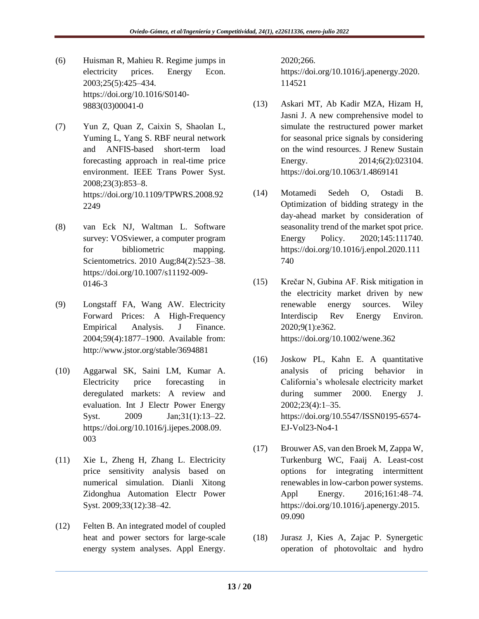- (6) Huisman R, Mahieu R. Regime jumps in electricity prices. Energy Econ. 2003;25(5):425–434. [https://doi.org/10.1016/S0140-](https://doi.org/10.1016/S0140-9883(03)00041-0) [9883\(03\)00041-0](https://doi.org/10.1016/S0140-9883(03)00041-0)
- (7) Yun Z, Quan Z, Caixin S, Shaolan L, Yuming L, Yang S. RBF neural network and ANFIS-based short-term load forecasting approach in real-time price environment. IEEE Trans Power Syst. 2008;23(3):853–8. [https://doi.org/10.1109/TPWRS.2008.92](https://doi.org/10.1109/TPWRS.2008.922249) [2249](https://doi.org/10.1109/TPWRS.2008.922249)
- (8) van Eck NJ, Waltman L. Software survey: VOSviewer, a computer program for bibliometric mapping. Scientometrics. 2010 Aug;84(2):523–38. [https://doi.org/10.1007/s11192-009-](https://doi.org/10.1007/s11192-009-0146-3) [0146-3](https://doi.org/10.1007/s11192-009-0146-3)
- (9) Longstaff FA, Wang AW. Electricity Forward Prices: A High-Frequency Empirical Analysis. J Finance. 2004;59(4):1877–1900. Available from: <http://www.jstor.org/stable/3694881>
- (10) Aggarwal SK, Saini LM, Kumar A. Electricity price forecasting in deregulated markets: A review and evaluation. Int J Electr Power Energy Syst. 2009 Jan;31(1):13–22. [https://doi.org/10.1016/j.ijepes.2008.09.](https://doi.org/10.1016/j.ijepes.2008.09.003) [003](https://doi.org/10.1016/j.ijepes.2008.09.003)
- (11) Xie L, Zheng H, Zhang L. Electricity price sensitivity analysis based on numerical simulation. Dianli Xitong Zidonghua Automation Electr Power Syst. 2009;33(12):38–42.
- (12) Felten B. An integrated model of coupled heat and power sectors for large-scale energy system analyses. Appl Energy.

2020;266. [https://doi.org/10.1016/j.apenergy.2020.](https://doi.org/10.1016/j.apenergy.2020.114521) [114521](https://doi.org/10.1016/j.apenergy.2020.114521)

- (13) Askari MT, Ab Kadir MZA, Hizam H, Jasni J. A new comprehensive model to simulate the restructured power market for seasonal price signals by considering on the wind resources. J Renew Sustain Energy. 2014;6(2):023104. <https://doi.org/10.1063/1.4869141>
- (14) Motamedi Sedeh O, Ostadi B. Optimization of bidding strategy in the day-ahead market by consideration of seasonality trend of the market spot price. Energy Policy. 2020;145:111740. [https://doi.org/10.1016/j.enpol.2020.111](https://doi.org/10.1016/j.enpol.2020.111740) [740](https://doi.org/10.1016/j.enpol.2020.111740)
- (15) Krečar N, Gubina AF. Risk mitigation in the electricity market driven by new renewable energy sources. Wiley Interdiscip Rev Energy Environ. 2020;9(1):e362. <https://doi.org/10.1002/wene.362>
- (16) Joskow PL, Kahn E. A quantitative analysis of pricing behavior in California's wholesale electricity market during summer 2000. Energy J. 2002;23(4):1–35. [https://doi.org/10.5547/ISSN0195-6574-](https://doi.org/10.5547/ISSN0195-6574-EJ-Vol23-No4-1) [EJ-Vol23-No4-1](https://doi.org/10.5547/ISSN0195-6574-EJ-Vol23-No4-1)
- (17) Brouwer AS, van den Broek M, Zappa W, Turkenburg WC, Faaij A. Least-cost options for integrating intermittent renewables in low-carbon power systems. Appl Energy. 2016;161:48–74. [https://doi.org/10.1016/j.apenergy.2015.](https://doi.org/10.1016/j.apenergy.2015.09.090) [09.090](https://doi.org/10.1016/j.apenergy.2015.09.090)
- (18) Jurasz J, Kies A, Zajac P. Synergetic operation of photovoltaic and hydro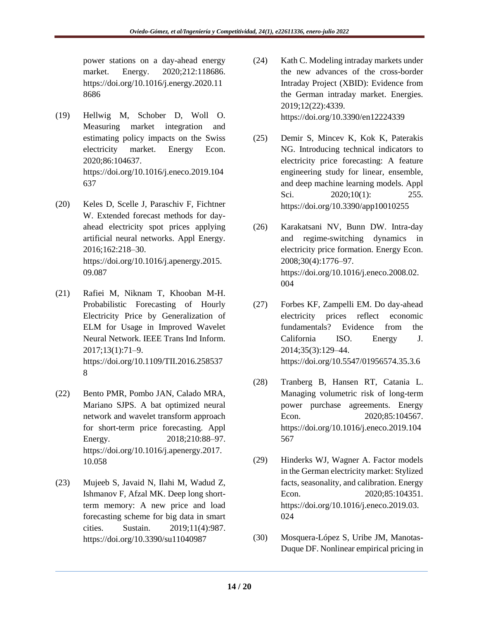power stations on a day-ahead energy market. Energy. 2020;212:118686. [https://doi.org/10.1016/j.energy.2020.11](https://doi.org/10.1016/j.energy.2020.118686) [8686](https://doi.org/10.1016/j.energy.2020.118686) 

- (19) Hellwig M, Schober D, Woll O. Measuring market integration and estimating policy impacts on the Swiss electricity market. Energy Econ. 2020;86:104637. [https://doi.org/10.1016/j.eneco.2019.104](https://doi.org/10.1016/j.eneco.2019.104637) [637](https://doi.org/10.1016/j.eneco.2019.104637)
- (20) Keles D, Scelle J, Paraschiv F, Fichtner W. Extended forecast methods for dayahead electricity spot prices applying artificial neural networks. Appl Energy. 2016;162:218–30. [https://doi.org/10.1016/j.apenergy.2015.](https://doi.org/10.1016/j.apenergy.2015.09.087) [09.087](https://doi.org/10.1016/j.apenergy.2015.09.087)
- (21) Rafiei M, Niknam T, Khooban M-H. Probabilistic Forecasting of Hourly Electricity Price by Generalization of ELM for Usage in Improved Wavelet Neural Network. IEEE Trans Ind Inform. 2017;13(1):71–9. [https://doi.org/10.1109/TII.2016.258537](https://doi.org/10.1109/TII.2016.2585378) [8](https://doi.org/10.1109/TII.2016.2585378)
- (22) Bento PMR, Pombo JAN, Calado MRA, Mariano SJPS. A bat optimized neural network and wavelet transform approach for short-term price forecasting. Appl Energy. 2018;210:88–97. [https://doi.org/10.1016/j.apenergy.2017.](https://doi.org/10.1016/j.apenergy.2017.10.058) [10.058](https://doi.org/10.1016/j.apenergy.2017.10.058)
- (23) Mujeeb S, Javaid N, Ilahi M, Wadud Z, Ishmanov F, Afzal MK. Deep long shortterm memory: A new price and load forecasting scheme for big data in smart cities. Sustain. 2019;11(4):987. <https://doi.org/10.3390/su11040987>
- (24) Kath C. Modeling intraday markets under the new advances of the cross-border Intraday Project (XBID): Evidence from the German intraday market. Energies. 2019;12(22):4339. <https://doi.org/10.3390/en12224339>
- (25) Demir S, Mincev K, Kok K, Paterakis NG. Introducing technical indicators to electricity price forecasting: A feature engineering study for linear, ensemble, and deep machine learning models. Appl Sci. 2020;10(1): 255. <https://doi.org/10.3390/app10010255>
- (26) Karakatsani NV, Bunn DW. Intra-day and regime-switching dynamics in electricity price formation. Energy Econ. 2008;30(4):1776–97. [https://doi.org/10.1016/j.eneco.2008.02.](https://doi.org/10.1016/j.eneco.2008.02.004) [004](https://doi.org/10.1016/j.eneco.2008.02.004)
- (27) Forbes KF, Zampelli EM. Do day-ahead electricity prices reflect economic fundamentals? Evidence from the California ISO. Energy J. 2014;35(3):129–44. <https://doi.org/10.5547/01956574.35.3.6>
- (28) Tranberg B, Hansen RT, Catania L. Managing volumetric risk of long-term power purchase agreements. Energy Econ. 2020;85:104567. [https://doi.org/10.1016/j.eneco.2019.104](https://doi.org/10.1016/j.eneco.2019.104567) [567](https://doi.org/10.1016/j.eneco.2019.104567)
- (29) Hinderks WJ, Wagner A. Factor models in the German electricity market: Stylized facts, seasonality, and calibration. Energy Econ. 2020;85:104351. [https://doi.org/10.1016/j.eneco.2019.03.](https://doi.org/10.1016/j.eneco.2019.03.024) [024](https://doi.org/10.1016/j.eneco.2019.03.024)
- (30) Mosquera-López S, Uribe JM, Manotas-Duque DF. Nonlinear empirical pricing in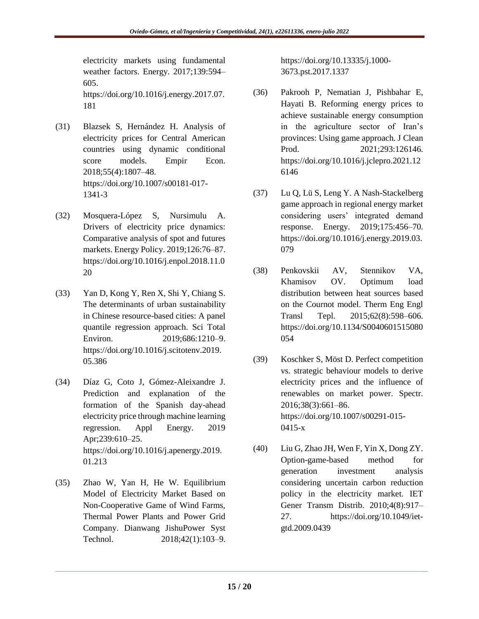electricity markets using fundamental weather factors. Energy. 2017;139:594– 605. [https://doi.org/10.1016/j.energy.2017.07.](https://doi.org/10.1016/j.energy.2017.07.181)

[181](https://doi.org/10.1016/j.energy.2017.07.181)

- (31) Blazsek S, Hernández H. Analysis of electricity prices for Central American countries using dynamic conditional score models. Empir Econ. 2018;55(4):1807–48. [https://doi.org/10.1007/s00181-017-](https://doi.org/10.1007/s00181-017-1341-3) [1341-3](https://doi.org/10.1007/s00181-017-1341-3)
- (32) Mosquera-López S, Nursimulu A. Drivers of electricity price dynamics: Comparative analysis of spot and futures markets. Energy Policy. 2019;126:76–87. [https://doi.org/10.1016/j.enpol.2018.11.0](https://doi.org/10.1016/j.enpol.2018.11.020) [20](https://doi.org/10.1016/j.enpol.2018.11.020)
- (33) Yan D, Kong Y, Ren X, Shi Y, Chiang S. The determinants of urban sustainability in Chinese resource-based cities: A panel quantile regression approach. Sci Total Environ. 2019;686:1210–9. [https://doi.org/10.1016/j.scitotenv.2019.](https://doi.org/10.1016/j.scitotenv.2019.05.386) [05.386](https://doi.org/10.1016/j.scitotenv.2019.05.386)
- (34) Díaz G, Coto J, Gómez-Aleixandre J. Prediction and explanation of the formation of the Spanish day-ahead electricity price through machine learning regression. Appl Energy. 2019 Apr;239:610–25. [https://doi.org/10.1016/j.apenergy.2019.](https://doi.org/10.1016/j.apenergy.2019.01.213) [01.213](https://doi.org/10.1016/j.apenergy.2019.01.213)
- (35) Zhao W, Yan H, He W. Equilibrium Model of Electricity Market Based on Non-Cooperative Game of Wind Farms, Thermal Power Plants and Power Grid Company. Dianwang JishuPower Syst Technol. 2018;42(1):103-9.

[https://doi.org/10.13335/j.1000-](https://doi.org/10.13335/j.1000-3673.pst.2017.1337) [3673.pst.2017.1337](https://doi.org/10.13335/j.1000-3673.pst.2017.1337)

- (36) Pakrooh P, Nematian J, Pishbahar E, Hayati B. Reforming energy prices to achieve sustainable energy consumption in the agriculture sector of Iran's provinces: Using game approach. J Clean Prod. 2021;293:126146. [https://doi.org/10.1016/j.jclepro.2021.12](https://doi.org/10.1016/j.jclepro.2021.126146) [6146](https://doi.org/10.1016/j.jclepro.2021.126146)
- (37) Lu Q, Lü S, Leng Y. A Nash-Stackelberg game approach in regional energy market considering users' integrated demand response. Energy. 2019;175:456–70. [https://doi.org/10.1016/j.energy.2019.03.](https://doi.org/10.1016/j.energy.2019.03.079) [079](https://doi.org/10.1016/j.energy.2019.03.079)
- (38) Penkovskii AV, Stennikov VA, Khamisov OV. Optimum load distribution between heat sources based on the Cournot model. Therm Eng Engl Transl Tepl. 2015;62(8):598–606. [https://doi.org/10.1134/S0040601515080](https://doi.org/10.1134/S0040601515080054) [054](https://doi.org/10.1134/S0040601515080054)
- (39) Koschker S, Möst D. Perfect competition vs. strategic behaviour models to derive electricity prices and the influence of renewables on market power. Spectr. 2016;38(3):661–86. [https://doi.org/10.1007/s00291-015-](https://doi.org/10.1007/s00291-015-0415-x) [0415-x](https://doi.org/10.1007/s00291-015-0415-x)
- (40) Liu G, Zhao JH, Wen F, Yin X, Dong ZY. Option-game-based method for generation investment analysis considering uncertain carbon reduction policy in the electricity market. IET Gener Transm Distrib. 2010;4(8):917– 27. [https://doi.org/10.1049/iet](https://doi.org/10.1049/iet-gtd.2009.0439)[gtd.2009.0439](https://doi.org/10.1049/iet-gtd.2009.0439)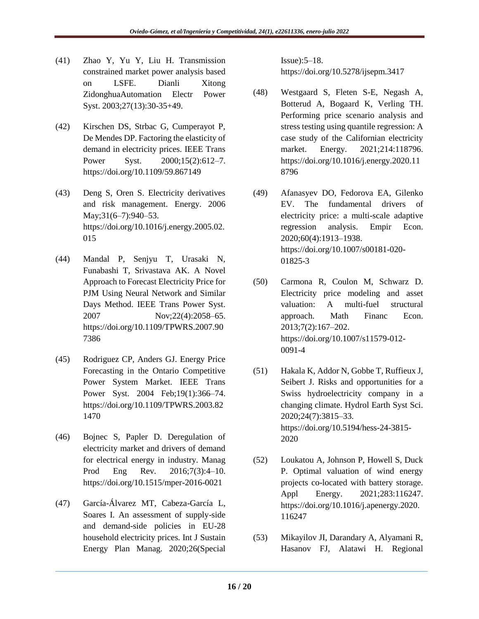- (41) Zhao Y, Yu Y, Liu H. Transmission constrained market power analysis based on LSFE. Dianli Xitong ZidonghuaAutomation Electr Power Syst. 2003;27(13):30-35+49.
- (42) Kirschen DS, Strbac G, Cumperayot P, De Mendes DP. Factoring the elasticity of demand in electricity prices. IEEE Trans Power Syst. 2000;15(2):612–7. <https://doi.org/10.1109/59.867149>
- (43) Deng S, Oren S. Electricity derivatives and risk management. Energy. 2006 May;31(6–7):940–53. [https://doi.org/10.1016/j.energy.2005.02.](https://doi.org/10.1016/j.energy.2005.02.015) [015](https://doi.org/10.1016/j.energy.2005.02.015)
- (44) Mandal P, Senjyu T, Urasaki N, Funabashi T, Srivastava AK. A Novel Approach to Forecast Electricity Price for PJM Using Neural Network and Similar Days Method. IEEE Trans Power Syst. 2007 Nov;22(4):2058–65. [https://doi.org/10.1109/TPWRS.2007.90](https://doi.org/10.1109/TPWRS.2007.907386) [7386](https://doi.org/10.1109/TPWRS.2007.907386)
- (45) Rodriguez CP, Anders GJ. Energy Price Forecasting in the Ontario Competitive Power System Market. IEEE Trans Power Syst. 2004 Feb;19(1):366–74. [https://doi.org/10.1109/TPWRS.2003.82](https://doi.org/10.1109/TPWRS.2003.821470) [1470](https://doi.org/10.1109/TPWRS.2003.821470)
- (46) Bojnec S, Papler D. Deregulation of electricity market and drivers of demand for electrical energy in industry. Manag Prod Eng Rev. 2016;7(3):4–10. <https://doi.org/10.1515/mper-2016-0021>
- (47) García-Álvarez MT, Cabeza-García L, Soares I. An assessment of supply-side and demand-side policies in EU-28 household electricity prices. Int J Sustain Energy Plan Manag. 2020;26(Special

Issue):5–18. <https://doi.org/10.5278/ijsepm.3417>

- (48) Westgaard S, Fleten S-E, Negash A, Botterud A, Bogaard K, Verling TH. Performing price scenario analysis and stress testing using quantile regression: A case study of the Californian electricity market. Energy. 2021;214:118796. [https://doi.org/10.1016/j.energy.2020.11](https://doi.org/10.1016/j.energy.2020.118796) [8796](https://doi.org/10.1016/j.energy.2020.118796)
- (49) Afanasyev DO, Fedorova EA, Gilenko EV. The fundamental drivers of electricity price: a multi-scale adaptive regression analysis. Empir Econ. 2020;60(4):1913–1938. [https://doi.org/10.1007/s00181-020-](https://doi.org/10.1007/s00181-020-01825-3) [01825-3](https://doi.org/10.1007/s00181-020-01825-3)
- (50) Carmona R, Coulon M, Schwarz D. Electricity price modeling and asset valuation: A multi-fuel structural approach. Math Financ Econ. 2013;7(2):167–202. [https://doi.org/10.1007/s11579-012-](https://doi.org/10.1007/s11579-012-0091-4) [0091-4](https://doi.org/10.1007/s11579-012-0091-4)
- (51) Hakala K, Addor N, Gobbe T, Ruffieux J, Seibert J. Risks and opportunities for a Swiss hydroelectricity company in a changing climate. Hydrol Earth Syst Sci. 2020;24(7):3815–33. [https://doi.org/10.5194/hess-24-3815-](https://doi.org/10.5194/hess-24-3815-2020) [2020](https://doi.org/10.5194/hess-24-3815-2020)
- (52) Loukatou A, Johnson P, Howell S, Duck P. Optimal valuation of wind energy projects co-located with battery storage. Appl Energy. 2021;283:116247. [https://doi.org/10.1016/j.apenergy.2020.](https://doi.org/10.1016/j.apenergy.2020.116247) [116247](https://doi.org/10.1016/j.apenergy.2020.116247)
- (53) Mikayilov JI, Darandary A, Alyamani R, Hasanov FJ, Alatawi H. Regional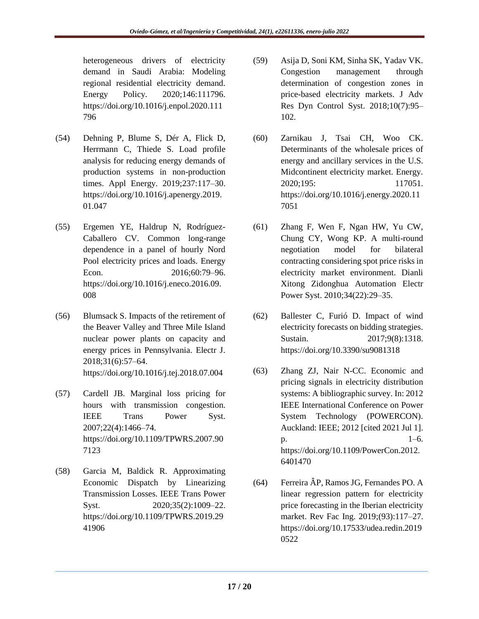heterogeneous drivers of electricity demand in Saudi Arabia: Modeling regional residential electricity demand. Energy Policy. 2020;146:111796. [https://doi.org/10.1016/j.enpol.2020.111](https://doi.org/10.1016/j.enpol.2020.111796) [796](https://doi.org/10.1016/j.enpol.2020.111796) 

- (54) Dehning P, Blume S, Dér A, Flick D, Herrmann C, Thiede S. Load profile analysis for reducing energy demands of production systems in non-production times. Appl Energy. 2019;237:117–30. [https://doi.org/10.1016/j.apenergy.2019.](https://doi.org/10.1016/j.apenergy.2019.01.047) [01.047](https://doi.org/10.1016/j.apenergy.2019.01.047)
- (55) Ergemen YE, Haldrup N, Rodríguez-Caballero CV. Common long-range dependence in a panel of hourly Nord Pool electricity prices and loads. Energy Econ. 2016;60:79–96. [https://doi.org/10.1016/j.eneco.2016.09.](https://doi.org/10.1016/j.eneco.2016.09.008) [008](https://doi.org/10.1016/j.eneco.2016.09.008)
- (56) Blumsack S. Impacts of the retirement of the Beaver Valley and Three Mile Island nuclear power plants on capacity and energy prices in Pennsylvania. Electr J. 2018;31(6):57–64. <https://doi.org/10.1016/j.tej.2018.07.004>
- (57) Cardell JB. Marginal loss pricing for hours with transmission congestion. IEEE Trans Power Syst. 2007;22(4):1466–74. [https://doi.org/10.1109/TPWRS.2007.90](https://doi.org/10.1109/TPWRS.2007.907123) [7123](https://doi.org/10.1109/TPWRS.2007.907123)
- (58) Garcia M, Baldick R. Approximating Economic Dispatch by Linearizing Transmission Losses. IEEE Trans Power Syst. 2020:35(2):1009–22. [https://doi.org/10.1109/TPWRS.2019.29](https://doi.org/10.1109/TPWRS.2019.2941906) [41906](https://doi.org/10.1109/TPWRS.2019.2941906)
- (59) Asija D, Soni KM, Sinha SK, Yadav VK. Congestion management through determination of congestion zones in price-based electricity markets. J Adv Res Dyn Control Syst. 2018;10(7):95– 102.
- (60) Zarnikau J, Tsai CH, Woo CK. Determinants of the wholesale prices of energy and ancillary services in the U.S. Midcontinent electricity market. Energy. 2020;195: 117051. [https://doi.org/10.1016/j.energy.2020.11](https://doi.org/10.1016/j.energy.2020.117051) [7051](https://doi.org/10.1016/j.energy.2020.117051)
- (61) Zhang F, Wen F, Ngan HW, Yu CW, Chung CY, Wong KP. A multi-round negotiation model for bilateral contracting considering spot price risks in electricity market environment. Dianli Xitong Zidonghua Automation Electr Power Syst. 2010;34(22):29–35.
- (62) Ballester C, Furió D. Impact of wind electricity forecasts on bidding strategies. Sustain. 2017;9(8):1318. <https://doi.org/10.3390/su9081318>
- (63) Zhang ZJ, Nair N-CC. Economic and pricing signals in electricity distribution systems: A bibliographic survey. In: 2012 IEEE International Conference on Power System Technology (POWERCON). Auckland: IEEE; 2012 [cited 2021 Jul 1].  $p.$  1–6. [https://doi.org/10.1109/PowerCon.2012.](https://doi.org/10.1109/PowerCon.2012.6401470) [6401470](https://doi.org/10.1109/PowerCon.2012.6401470)
- (64) Ferreira ÂP, Ramos JG, Fernandes PO. A linear regression pattern for electricity price forecasting in the Iberian electricity market. Rev Fac Ing. 2019;(93):117–27. [https://doi.org/10.17533/udea.redin.2019](https://doi.org/10.17533/udea.redin.20190522) [0522](https://doi.org/10.17533/udea.redin.20190522)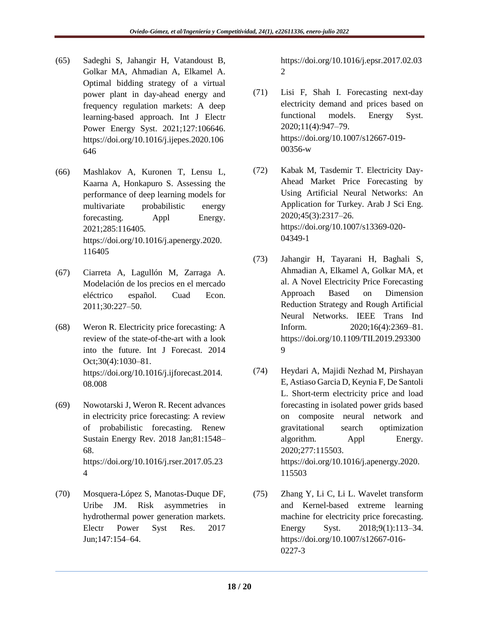- (65) Sadeghi S, Jahangir H, Vatandoust B, Golkar MA, Ahmadian A, Elkamel A. Optimal bidding strategy of a virtual power plant in day-ahead energy and frequency regulation markets: A deep learning-based approach. Int J Electr Power Energy Syst. 2021;127:106646. [https://doi.org/10.1016/j.ijepes.2020.106](https://doi.org/10.1016/j.ijepes.2020.106646) [646](https://doi.org/10.1016/j.ijepes.2020.106646)
- (66) Mashlakov A, Kuronen T, Lensu L, Kaarna A, Honkapuro S. Assessing the performance of deep learning models for multivariate probabilistic energy forecasting. Appl Energy. 2021;285:116405. [https://doi.org/10.1016/j.apenergy.2020.](https://doi.org/10.1016/j.apenergy.2020.116405) [116405](https://doi.org/10.1016/j.apenergy.2020.116405)
- (67) Ciarreta A, Lagullón M, Zarraga A. Modelación de los precios en el mercado eléctrico español. Cuad Econ. 2011;30:227–50.
- (68) Weron R. Electricity price forecasting: A review of the state-of-the-art with a look into the future. Int J Forecast. 2014 Oct;30(4):1030–81. [https://doi.org/10.1016/j.ijforecast.2014.](https://doi.org/10.1016/j.ijforecast.2014.08.008) [08.008](https://doi.org/10.1016/j.ijforecast.2014.08.008)
- (69) Nowotarski J, Weron R. Recent advances in electricity price forecasting: A review of probabilistic forecasting. Renew Sustain Energy Rev. 2018 Jan;81:1548– 68. [https://doi.org/10.1016/j.rser.2017.05.23](https://doi.org/10.1016/j.rser.2017.05.234) [4](https://doi.org/10.1016/j.rser.2017.05.234)
- (70) Mosquera-López S, Manotas-Duque DF, Uribe JM. Risk asymmetries in hydrothermal power generation markets. Electr Power Syst Res. 2017 Jun;147:154–64.

[https://doi.org/10.1016/j.epsr.2017.02.03](https://doi.org/10.1016/j.epsr.2017.02.032) [2](https://doi.org/10.1016/j.epsr.2017.02.032)

- (71) Lisi F, Shah I. Forecasting next-day electricity demand and prices based on functional models. Energy Syst. 2020;11(4):947–79. [https://doi.org/10.1007/s12667-019-](https://doi.org/10.1007/s12667-019-00356-w) [00356-w](https://doi.org/10.1007/s12667-019-00356-w)
- (72) Kabak M, Tasdemir T. Electricity Day-Ahead Market Price Forecasting by Using Artificial Neural Networks: An Application for Turkey. Arab J Sci Eng. 2020;45(3):2317–26. [https://doi.org/10.1007/s13369-020-](https://doi.org/10.1007/s13369-020-04349-1) [04349-1](https://doi.org/10.1007/s13369-020-04349-1)
- (73) Jahangir H, Tayarani H, Baghali S, Ahmadian A, Elkamel A, Golkar MA, et al. A Novel Electricity Price Forecasting Approach Based on Dimension Reduction Strategy and Rough Artificial Neural Networks. IEEE Trans Ind Inform. 2020;16(4):2369–81. [https://doi.org/10.1109/TII.2019.293300](https://doi.org/10.1109/TII.2019.2933009) [9](https://doi.org/10.1109/TII.2019.2933009)
- (74) Heydari A, Majidi Nezhad M, Pirshayan E, Astiaso Garcia D, Keynia F, De Santoli L. Short-term electricity price and load forecasting in isolated power grids based on composite neural network and gravitational search optimization algorithm. Appl Energy. 2020;277:115503. [https://doi.org/10.1016/j.apenergy.2020.](https://doi.org/10.1016/j.apenergy.2020.115503) [115503](https://doi.org/10.1016/j.apenergy.2020.115503)
- (75) Zhang Y, Li C, Li L. Wavelet transform and Kernel-based extreme learning machine for electricity price forecasting. Energy Syst. 2018;9(1):113–34. [https://doi.org/10.1007/s12667-016-](https://doi.org/10.1007/s12667-016-0227-3) [0227-3](https://doi.org/10.1007/s12667-016-0227-3)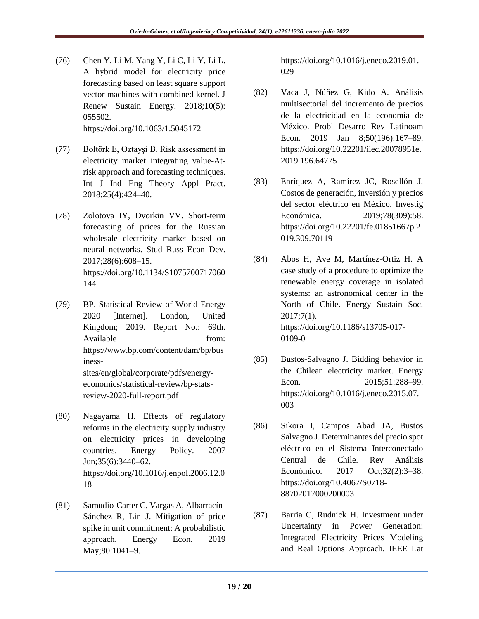- (76) Chen Y, Li M, Yang Y, Li C, Li Y, Li L. A hybrid model for electricity price forecasting based on least square support vector machines with combined kernel. J Renew Sustain Energy. 2018;10(5): 055502. <https://doi.org/10.1063/1.5045172>
- (77) Boltörk E, Oztayşi B. Risk assessment in electricity market integrating value-Atrisk approach and forecasting techniques. Int J Ind Eng Theory Appl Pract. 2018;25(4):424–40.
- (78) Zolotova IY, Dvorkin VV. Short-term forecasting of prices for the Russian wholesale electricity market based on neural networks. Stud Russ Econ Dev. 2017;28(6):608–15. [https://doi.org/10.1134/S1075700717060](https://doi.org/10.1134/S1075700717060144) [144](https://doi.org/10.1134/S1075700717060144)
- (79) BP. Statistical Review of World Energy 2020 [Internet]. London, United Kingdom; 2019. Report No.: 69th. Available from: [https://www.bp.com/content/dam/bp/bus](https://www.bp.com/content/dam/bp/business-sites/en/global/corporate/pdfs/energy-economics/statistical-review/bp-stats-review-2020-full-report.pdf) [iness](https://www.bp.com/content/dam/bp/business-sites/en/global/corporate/pdfs/energy-economics/statistical-review/bp-stats-review-2020-full-report.pdf)[sites/en/global/corporate/pdfs/energy](https://www.bp.com/content/dam/bp/business-sites/en/global/corporate/pdfs/energy-economics/statistical-review/bp-stats-review-2020-full-report.pdf)[economics/statistical-review/bp-stats](https://www.bp.com/content/dam/bp/business-sites/en/global/corporate/pdfs/energy-economics/statistical-review/bp-stats-review-2020-full-report.pdf)[review-2020-full-report.pdf](https://www.bp.com/content/dam/bp/business-sites/en/global/corporate/pdfs/energy-economics/statistical-review/bp-stats-review-2020-full-report.pdf)
- (80) Nagayama H. Effects of regulatory reforms in the electricity supply industry on electricity prices in developing countries. Energy Policy. 2007 Jun;35(6):3440–62. [https://doi.org/10.1016/j.enpol.2006.12.0](https://doi.org/10.1016/j.enpol.2006.12.018) [18](https://doi.org/10.1016/j.enpol.2006.12.018)
- (81) Samudio-Carter C, Vargas A, Albarracín-Sánchez R, Lin J. Mitigation of price spike in unit commitment: A probabilistic approach. Energy Econ. 2019 May;80:1041–9.

[https://doi.org/10.1016/j.eneco.2019.01.](https://doi.org/10.1016/j.eneco.2019.01.029) [029](https://doi.org/10.1016/j.eneco.2019.01.029)

- (82) Vaca J, Núñez G, Kido A. Análisis multisectorial del incremento de precios de la electricidad en la economía de México. Probl Desarro Rev Latinoam Econ. 2019 Jan 8;50(196):167–89. [https://doi.org/10.22201/iiec.20078951e.](https://doi.org/10.22201/iiec.20078951e.2019.196.64775) [2019.196.64775](https://doi.org/10.22201/iiec.20078951e.2019.196.64775)
- (83) Enríquez A, Ramírez JC, Rosellón J. Costos de generación, inversión y precios del sector eléctrico en México. Investig Económica. 2019;78(309):58. [https://doi.org/10.22201/fe.01851667p.2](https://doi.org/10.22201/fe.01851667p.2019.309.70119) [019.309.70119](https://doi.org/10.22201/fe.01851667p.2019.309.70119)
- (84) Abos H, Ave M, Martínez-Ortiz H. A case study of a procedure to optimize the renewable energy coverage in isolated systems: an astronomical center in the North of Chile. Energy Sustain Soc. 2017;7(1). [https://doi.org/10.1186/s13705-017-](https://doi.org/10.1186/s13705-017-0109-0) [0109-0](https://doi.org/10.1186/s13705-017-0109-0)
- (85) Bustos-Salvagno J. Bidding behavior in the Chilean electricity market. Energy Econ. 2015;51:288–99. [https://doi.org/10.1016/j.eneco.2015.07.](https://doi.org/10.1016/j.eneco.2015.07.003) [003](https://doi.org/10.1016/j.eneco.2015.07.003)
- (86) Sikora I, Campos Abad JA, Bustos Salvagno J. Determinantes del precio spot eléctrico en el Sistema Interconectado Central de Chile. Rev Análisis Económico. 2017 Oct;32(2):3–38. [https://doi.org/10.4067/S0718-](https://doi.org/10.4067/S0718-88702017000200003) [88702017000200003](https://doi.org/10.4067/S0718-88702017000200003)
- (87) Barria C, Rudnick H. Investment under Uncertainty in Power Generation: Integrated Electricity Prices Modeling and Real Options Approach. IEEE Lat